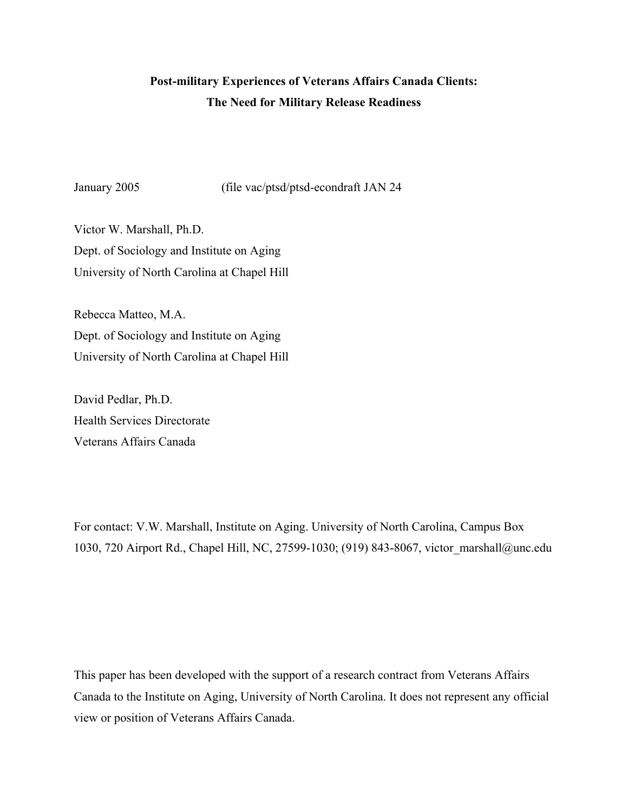# **Post-military Experiences of Veterans Affairs Canada Clients: The Need for Military Release Readiness**

January 2005 (file vac/ptsd/ptsd-econdraft JAN 24

Victor W. Marshall, Ph.D. Dept. of Sociology and Institute on Aging University of North Carolina at Chapel Hill

Rebecca Matteo, M.A. Dept. of Sociology and Institute on Aging University of North Carolina at Chapel Hill

David Pedlar, Ph.D. Health Services Directorate Veterans Affairs Canada

For contact: V.W. Marshall, Institute on Aging. University of North Carolina, Campus Box 1030, 720 Airport Rd., Chapel Hill, NC, 27599-1030; (919) 843-8067, victor\_marshall@unc.edu

This paper has been developed with the support of a research contract from Veterans Affairs Canada to the Institute on Aging, University of North Carolina. It does not represent any official view or position of Veterans Affairs Canada.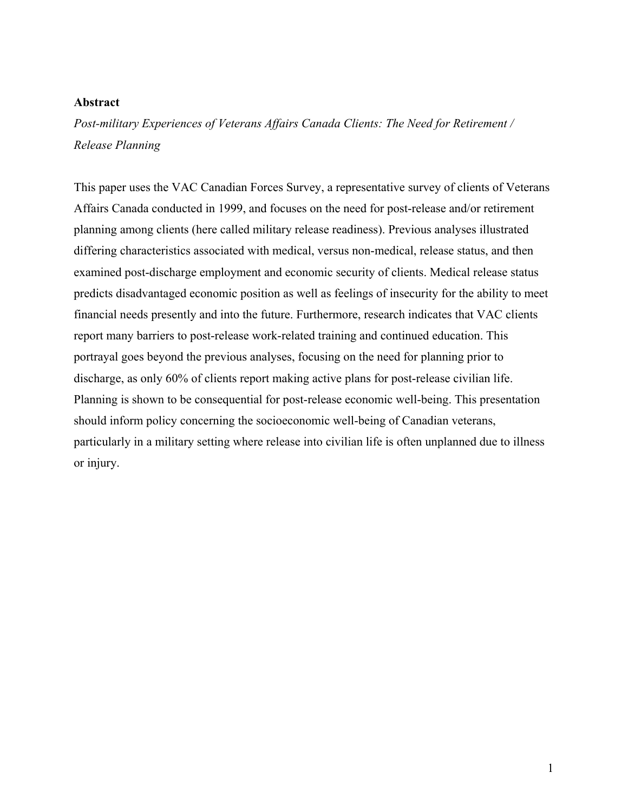# **Abstract**

*Post-military Experiences of Veterans Affairs Canada Clients: The Need for Retirement / Release Planning*

This paper uses the VAC Canadian Forces Survey, a representative survey of clients of Veterans Affairs Canada conducted in 1999, and focuses on the need for post-release and/or retirement planning among clients (here called military release readiness). Previous analyses illustrated differing characteristics associated with medical, versus non-medical, release status, and then examined post-discharge employment and economic security of clients. Medical release status predicts disadvantaged economic position as well as feelings of insecurity for the ability to meet financial needs presently and into the future. Furthermore, research indicates that VAC clients report many barriers to post-release work-related training and continued education. This portrayal goes beyond the previous analyses, focusing on the need for planning prior to discharge, as only 60% of clients report making active plans for post-release civilian life. Planning is shown to be consequential for post-release economic well-being. This presentation should inform policy concerning the socioeconomic well-being of Canadian veterans, particularly in a military setting where release into civilian life is often unplanned due to illness or injury.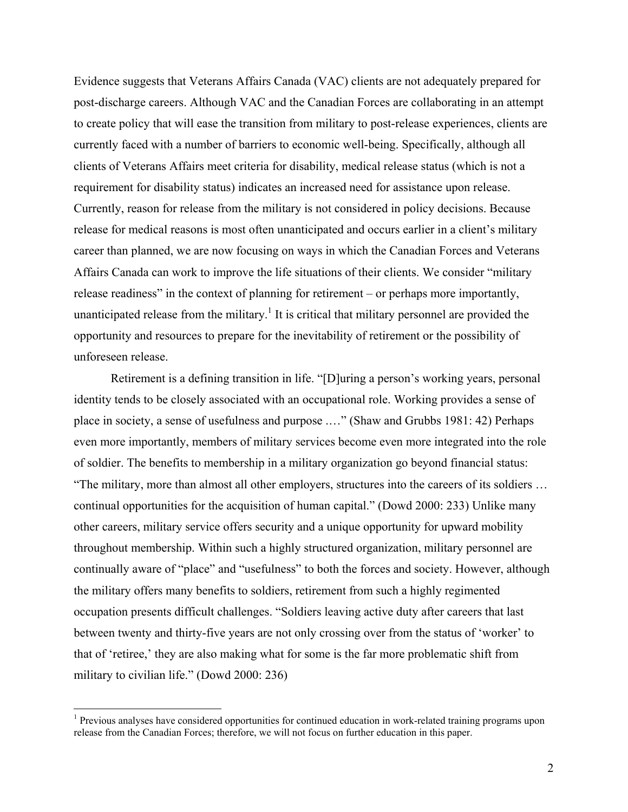Evidence suggests that Veterans Affairs Canada (VAC) clients are not adequately prepared for post-discharge careers. Although VAC and the Canadian Forces are collaborating in an attempt to create policy that will ease the transition from military to post-release experiences, clients are currently faced with a number of barriers to economic well-being. Specifically, although all clients of Veterans Affairs meet criteria for disability, medical release status (which is not a requirement for disability status) indicates an increased need for assistance upon release. Currently, reason for release from the military is not considered in policy decisions. Because release for medical reasons is most often unanticipated and occurs earlier in a client's military career than planned, we are now focusing on ways in which the Canadian Forces and Veterans Affairs Canada can work to improve the life situations of their clients. We consider "military release readiness" in the context of planning for retirement – or perhaps more importantly, unanticipated release from the military.<sup>1</sup> It is critical that military personnel are provided the opportunity and resources to prepare for the inevitability of retirement or the possibility of unforeseen release.

 Retirement is a defining transition in life. "[D]uring a person's working years, personal identity tends to be closely associated with an occupational role. Working provides a sense of place in society, a sense of usefulness and purpose .…" (Shaw and Grubbs 1981: 42) Perhaps even more importantly, members of military services become even more integrated into the role of soldier. The benefits to membership in a military organization go beyond financial status: "The military, more than almost all other employers, structures into the careers of its soldiers … continual opportunities for the acquisition of human capital." (Dowd 2000: 233) Unlike many other careers, military service offers security and a unique opportunity for upward mobility throughout membership. Within such a highly structured organization, military personnel are continually aware of "place" and "usefulness" to both the forces and society. However, although the military offers many benefits to soldiers, retirement from such a highly regimented occupation presents difficult challenges. "Soldiers leaving active duty after careers that last between twenty and thirty-five years are not only crossing over from the status of 'worker' to that of 'retiree,' they are also making what for some is the far more problematic shift from military to civilian life." (Dowd 2000: 236)

 $\overline{a}$ 

<sup>&</sup>lt;sup>1</sup> Previous analyses have considered opportunities for continued education in work-related training programs upon release from the Canadian Forces; therefore, we will not focus on further education in this paper.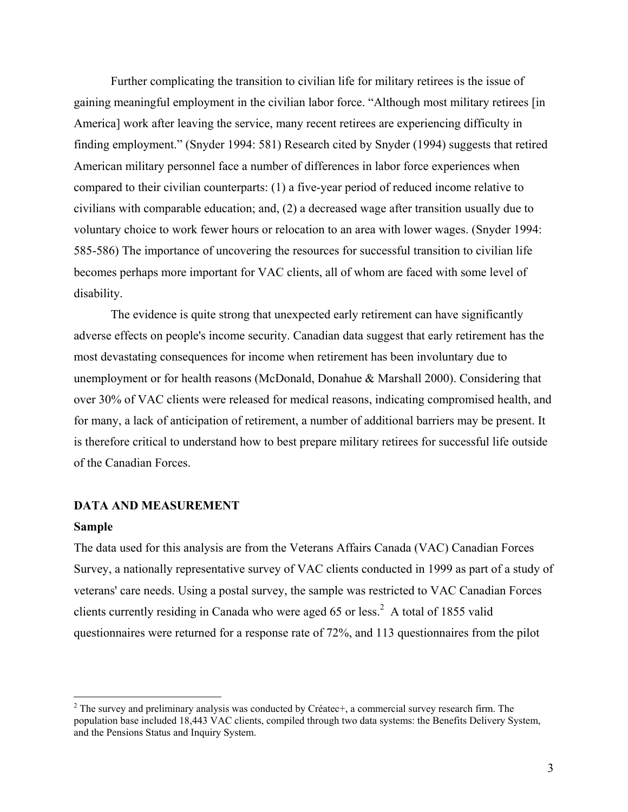Further complicating the transition to civilian life for military retirees is the issue of gaining meaningful employment in the civilian labor force. "Although most military retirees [in America] work after leaving the service, many recent retirees are experiencing difficulty in finding employment." (Snyder 1994: 581) Research cited by Snyder (1994) suggests that retired American military personnel face a number of differences in labor force experiences when compared to their civilian counterparts: (1) a five-year period of reduced income relative to civilians with comparable education; and, (2) a decreased wage after transition usually due to voluntary choice to work fewer hours or relocation to an area with lower wages. (Snyder 1994: 585-586) The importance of uncovering the resources for successful transition to civilian life becomes perhaps more important for VAC clients, all of whom are faced with some level of disability.

The evidence is quite strong that unexpected early retirement can have significantly adverse effects on people's income security. Canadian data suggest that early retirement has the most devastating consequences for income when retirement has been involuntary due to unemployment or for health reasons (McDonald, Donahue & Marshall 2000). Considering that over 30% of VAC clients were released for medical reasons, indicating compromised health, and for many, a lack of anticipation of retirement, a number of additional barriers may be present. It is therefore critical to understand how to best prepare military retirees for successful life outside of the Canadian Forces.

#### **DATA AND MEASUREMENT**

# **Sample**

 $\overline{a}$ 

The data used for this analysis are from the Veterans Affairs Canada (VAC) Canadian Forces Survey, a nationally representative survey of VAC clients conducted in 1999 as part of a study of veterans' care needs. Using a postal survey, the sample was restricted to VAC Canadian Forces clients currently residing in Canada who were aged 65 or less.<sup>2</sup> A total of 1855 valid questionnaires were returned for a response rate of 72%, and 113 questionnaires from the pilot

 $2$  The survey and preliminary analysis was conducted by Créatec+, a commercial survey research firm. The population base included 18,443 VAC clients, compiled through two data systems: the Benefits Delivery System, and the Pensions Status and Inquiry System.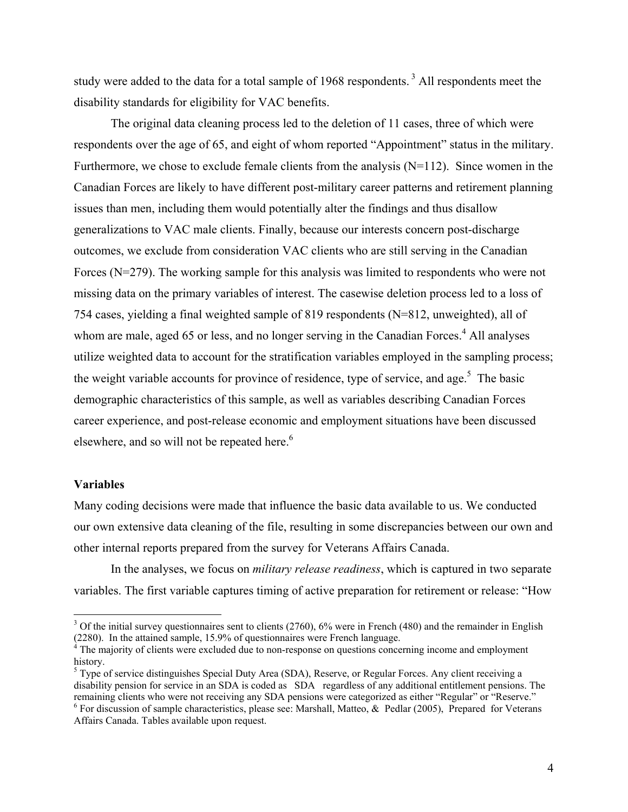study were added to the data for a total sample of 1968 respondents.<sup>3</sup> All respondents meet the disability standards for eligibility for VAC benefits.

The original data cleaning process led to the deletion of 11 cases, three of which were respondents over the age of 65, and eight of whom reported "Appointment" status in the military. Furthermore, we chose to exclude female clients from the analysis  $(N=112)$ . Since women in the Canadian Forces are likely to have different post-military career patterns and retirement planning issues than men, including them would potentially alter the findings and thus disallow generalizations to VAC male clients. Finally, because our interests concern post-discharge outcomes, we exclude from consideration VAC clients who are still serving in the Canadian Forces (N=279). The working sample for this analysis was limited to respondents who were not missing data on the primary variables of interest. The casewise deletion process led to a loss of 754 cases, yielding a final weighted sample of 819 respondents (N=812, unweighted), all of whom are male, aged 65 or less, and no longer serving in the Canadian Forces.<sup>4</sup> All analyses utilize weighted data to account for the stratification variables employed in the sampling process; the weight variable accounts for province of residence, type of service, and age.<sup>5</sup> The basic demographic characteristics of this sample, as well as variables describing Canadian Forces career experience, and post-release economic and employment situations have been discussed elsewhere, and so will not be repeated here.<sup>6</sup>

#### **Variables**

 $\overline{a}$ 

Many coding decisions were made that influence the basic data available to us. We conducted our own extensive data cleaning of the file, resulting in some discrepancies between our own and other internal reports prepared from the survey for Veterans Affairs Canada.

In the analyses, we focus on *military release readiness*, which is captured in two separate variables. The first variable captures timing of active preparation for retirement or release: "How

 $3$  Of the initial survey questionnaires sent to clients (2760), 6% were in French (480) and the remainder in English (2280). In the attained sample, 15.9% of questionnaires were French language.<br> $4$  The majority of clients were excluded due to non-response on questions concerning income and employment

history.

<sup>&</sup>lt;sup>5</sup> Type of service distinguishes Special Duty Area (SDA), Reserve, or Regular Forces. Any client receiving a disability pension for service in an SDA is coded as SDA regardless of any additional entitlement pensions. The remaining clients who were not receiving any SDA pensions were categorized as either "Regular" or "Reserve." 6  $6$  For discussion of sample characteristics, please see: Marshall, Matteo, & Pedlar (2005), Prepared for Veterans

Affairs Canada. Tables available upon request.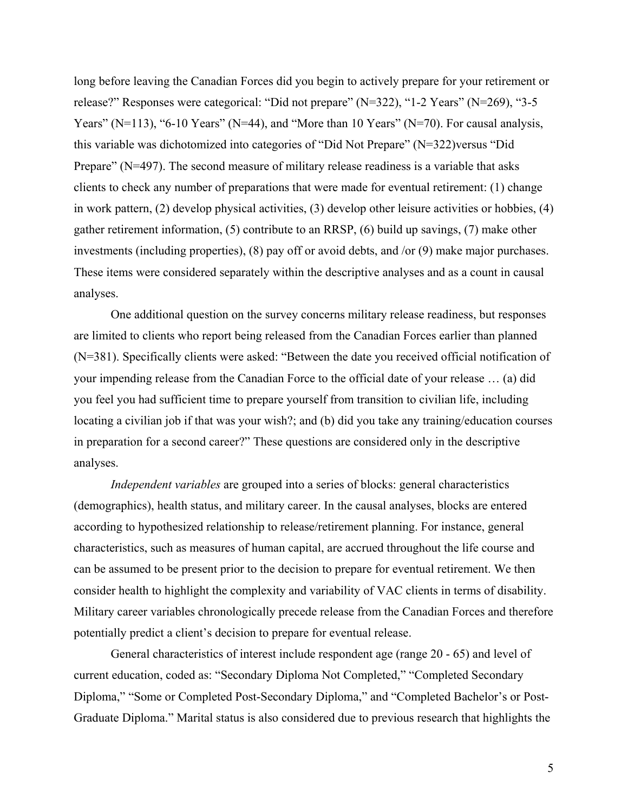long before leaving the Canadian Forces did you begin to actively prepare for your retirement or release?" Responses were categorical: "Did not prepare" (N=322), "1-2 Years" (N=269), "3-5 Years" (N=113), "6-10 Years" (N=44), and "More than 10 Years" (N=70). For causal analysis, this variable was dichotomized into categories of "Did Not Prepare" (N=322)versus "Did Prepare" (N=497). The second measure of military release readiness is a variable that asks clients to check any number of preparations that were made for eventual retirement: (1) change in work pattern, (2) develop physical activities, (3) develop other leisure activities or hobbies, (4) gather retirement information, (5) contribute to an RRSP, (6) build up savings, (7) make other investments (including properties), (8) pay off or avoid debts, and /or (9) make major purchases. These items were considered separately within the descriptive analyses and as a count in causal analyses.

One additional question on the survey concerns military release readiness, but responses are limited to clients who report being released from the Canadian Forces earlier than planned (N=381). Specifically clients were asked: "Between the date you received official notification of your impending release from the Canadian Force to the official date of your release … (a) did you feel you had sufficient time to prepare yourself from transition to civilian life, including locating a civilian job if that was your wish?; and (b) did you take any training/education courses in preparation for a second career?" These questions are considered only in the descriptive analyses.

*Independent variables* are grouped into a series of blocks: general characteristics (demographics), health status, and military career. In the causal analyses, blocks are entered according to hypothesized relationship to release/retirement planning. For instance, general characteristics, such as measures of human capital, are accrued throughout the life course and can be assumed to be present prior to the decision to prepare for eventual retirement. We then consider health to highlight the complexity and variability of VAC clients in terms of disability. Military career variables chronologically precede release from the Canadian Forces and therefore potentially predict a client's decision to prepare for eventual release.

General characteristics of interest include respondent age (range 20 - 65) and level of current education, coded as: "Secondary Diploma Not Completed," "Completed Secondary Diploma," "Some or Completed Post-Secondary Diploma," and "Completed Bachelor's or Post-Graduate Diploma." Marital status is also considered due to previous research that highlights the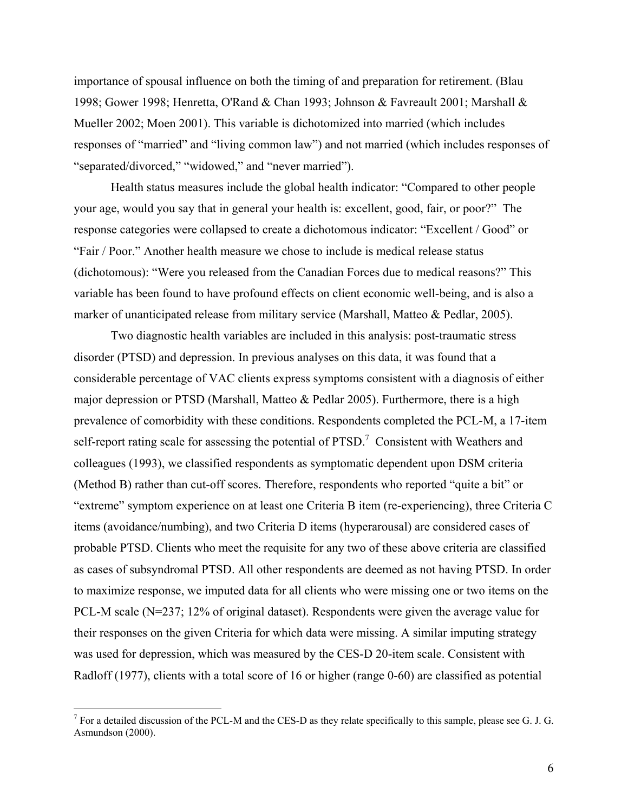importance of spousal influence on both the timing of and preparation for retirement. (Blau 1998; Gower 1998; Henretta, O'Rand & Chan 1993; Johnson & Favreault 2001; Marshall & Mueller 2002; Moen 2001). This variable is dichotomized into married (which includes responses of "married" and "living common law") and not married (which includes responses of "separated/divorced," "widowed," and "never married").

Health status measures include the global health indicator: "Compared to other people your age, would you say that in general your health is: excellent, good, fair, or poor?" The response categories were collapsed to create a dichotomous indicator: "Excellent / Good" or "Fair / Poor." Another health measure we chose to include is medical release status (dichotomous): "Were you released from the Canadian Forces due to medical reasons?" This variable has been found to have profound effects on client economic well-being, and is also a marker of unanticipated release from military service (Marshall, Matteo & Pedlar, 2005).

Two diagnostic health variables are included in this analysis: post-traumatic stress disorder (PTSD) and depression. In previous analyses on this data, it was found that a considerable percentage of VAC clients express symptoms consistent with a diagnosis of either major depression or PTSD (Marshall, Matteo & Pedlar 2005). Furthermore, there is a high prevalence of comorbidity with these conditions. Respondents completed the PCL-M, a 17-item self-report rating scale for assessing the potential of  $PTSD$ .<sup>7</sup> Consistent with Weathers and colleagues (1993), we classified respondents as symptomatic dependent upon DSM criteria (Method B) rather than cut-off scores. Therefore, respondents who reported "quite a bit" or "extreme" symptom experience on at least one Criteria B item (re-experiencing), three Criteria C items (avoidance/numbing), and two Criteria D items (hyperarousal) are considered cases of probable PTSD. Clients who meet the requisite for any two of these above criteria are classified as cases of subsyndromal PTSD. All other respondents are deemed as not having PTSD. In order to maximize response, we imputed data for all clients who were missing one or two items on the PCL-M scale (N=237; 12% of original dataset). Respondents were given the average value for their responses on the given Criteria for which data were missing. A similar imputing strategy was used for depression, which was measured by the CES-D 20-item scale. Consistent with Radloff (1977), clients with a total score of 16 or higher (range 0-60) are classified as potential

 $\overline{a}$ 

<sup>&</sup>lt;sup>7</sup> For a detailed discussion of the PCL-M and the CES-D as they relate specifically to this sample, please see G. J. G. Asmundson (2000).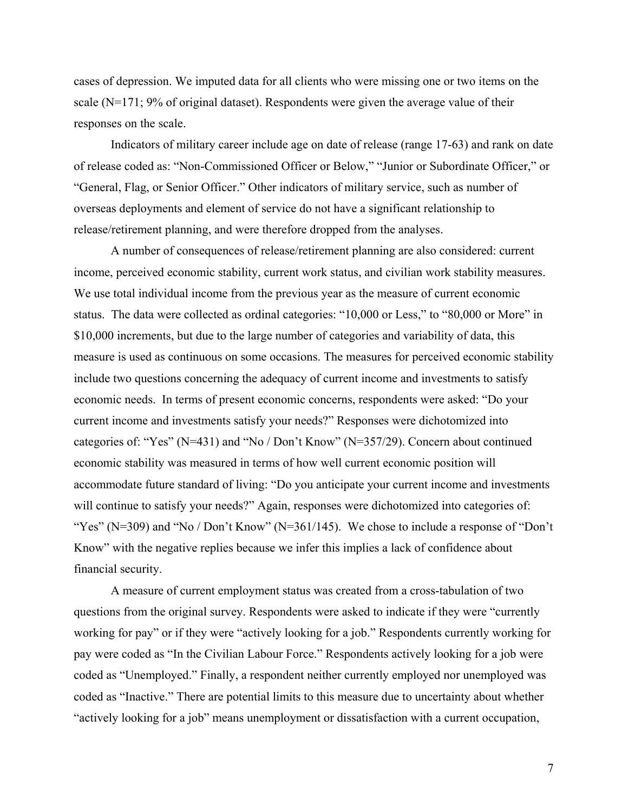cases of depression. We imputed data for all clients who were missing one or two items on the scale  $(N=171; 9\%$  of original dataset). Respondents were given the average value of their responses on the scale.

Indicators of military career include age on date of release (range 17-63) and rank on date of release coded as: "Non-Commissioned Officer or Below," "Junior or Subordinate Officer," or "General, Flag, or Senior Officer." Other indicators of military service, such as number of overseas deployments and element of service do not have a significant relationship to release/retirement planning, and were therefore dropped from the analyses.

A number of consequences of release/retirement planning are also considered: current income, perceived economic stability, current work status, and civilian work stability measures. We use total individual income from the previous year as the measure of current economic status. The data were collected as ordinal categories: "10,000 or Less," to "80,000 or More" in \$10,000 increments, but due to the large number of categories and variability of data, this measure is used as continuous on some occasions. The measures for perceived economic stability include two questions concerning the adequacy of current income and investments to satisfy economic needs. In terms of present economic concerns, respondents were asked: "Do your current income and investments satisfy your needs?" Responses were dichotomized into categories of: "Yes" (N=431) and "No / Don't Know" (N=357/29). Concern about continued economic stability was measured in terms of how well current economic position will accommodate future standard of living: "Do you anticipate your current income and investments will continue to satisfy your needs?" Again, responses were dichotomized into categories of: "Yes" ( $N=309$ ) and "No / Don't Know" ( $N=361/145$ ). We chose to include a response of "Don't Know" with the negative replies because we infer this implies a lack of confidence about financial security.

A measure of current employment status was created from a cross-tabulation of two questions from the original survey. Respondents were asked to indicate if they were "currently working for pay" or if they were "actively looking for a job." Respondents currently working for pay were coded as "In the Civilian Labour Force." Respondents actively looking for a job were coded as "Unemployed." Finally, a respondent neither currently employed nor unemployed was coded as "Inactive." There are potential limits to this measure due to uncertainty about whether "actively looking for a job" means unemployment or dissatisfaction with a current occupation,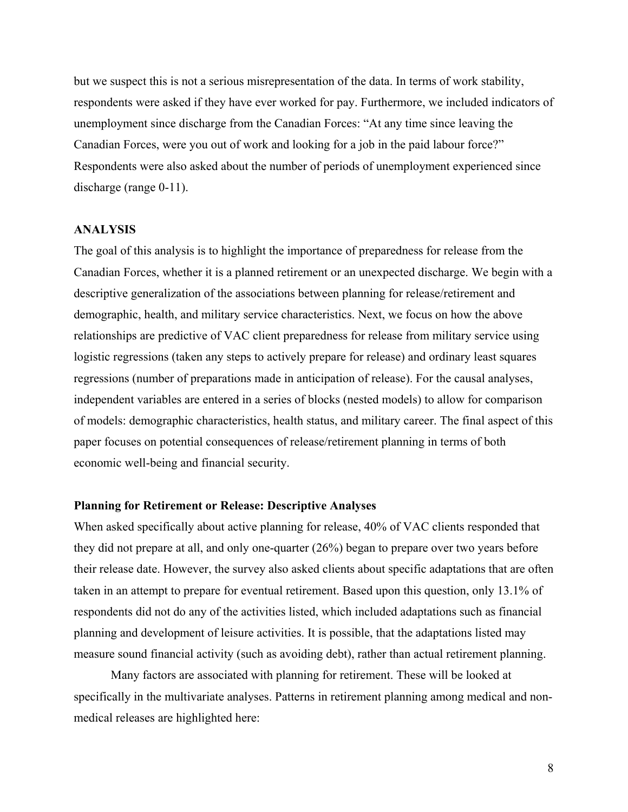but we suspect this is not a serious misrepresentation of the data. In terms of work stability, respondents were asked if they have ever worked for pay. Furthermore, we included indicators of unemployment since discharge from the Canadian Forces: "At any time since leaving the Canadian Forces, were you out of work and looking for a job in the paid labour force?" Respondents were also asked about the number of periods of unemployment experienced since discharge (range 0-11).

#### **ANALYSIS**

The goal of this analysis is to highlight the importance of preparedness for release from the Canadian Forces, whether it is a planned retirement or an unexpected discharge. We begin with a descriptive generalization of the associations between planning for release/retirement and demographic, health, and military service characteristics. Next, we focus on how the above relationships are predictive of VAC client preparedness for release from military service using logistic regressions (taken any steps to actively prepare for release) and ordinary least squares regressions (number of preparations made in anticipation of release). For the causal analyses, independent variables are entered in a series of blocks (nested models) to allow for comparison of models: demographic characteristics, health status, and military career. The final aspect of this paper focuses on potential consequences of release/retirement planning in terms of both economic well-being and financial security.

#### **Planning for Retirement or Release: Descriptive Analyses**

When asked specifically about active planning for release, 40% of VAC clients responded that they did not prepare at all, and only one-quarter (26%) began to prepare over two years before their release date. However, the survey also asked clients about specific adaptations that are often taken in an attempt to prepare for eventual retirement. Based upon this question, only 13.1% of respondents did not do any of the activities listed, which included adaptations such as financial planning and development of leisure activities. It is possible, that the adaptations listed may measure sound financial activity (such as avoiding debt), rather than actual retirement planning.

Many factors are associated with planning for retirement. These will be looked at specifically in the multivariate analyses. Patterns in retirement planning among medical and nonmedical releases are highlighted here: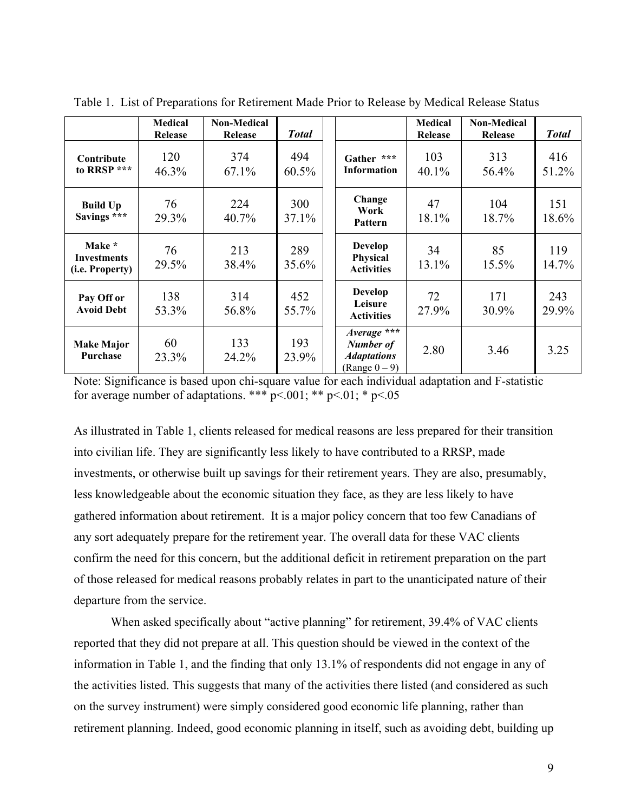|                                                 | <b>Medical</b><br>Release | <b>Non-Medical</b><br>Release | <b>Total</b>    |                                                                           | Medical<br>Release | <b>Non-Medical</b><br>Release | <b>Total</b> |
|-------------------------------------------------|---------------------------|-------------------------------|-----------------|---------------------------------------------------------------------------|--------------------|-------------------------------|--------------|
| Contribute<br>to RRSP ***                       | 120<br>46.3%              | 374<br>$67.1\%$               | 494<br>60.5%    | Gather ***<br><b>Information</b>                                          | 103<br>40.1%       | 313<br>56.4%                  | 416<br>51.2% |
| <b>Build Up</b><br>Savings ***                  | 76<br>29.3%               | 224<br>40.7%                  | 300<br>$37.1\%$ | Change<br>Work<br>Pattern                                                 | 47<br>18.1%        | 104<br>18.7%                  | 151<br>18.6% |
| Make *<br><b>Investments</b><br>(i.e. Property) | 76<br>29.5%               | 213<br>38.4%                  | 289<br>35.6%    | <b>Develop</b><br><b>Physical</b><br><b>Activities</b>                    | 34<br>13.1%        | 85<br>15.5%                   | 119<br>14.7% |
| Pay Off or<br><b>Avoid Debt</b>                 | 138<br>53.3%              | 314<br>56.8%                  | 452<br>55.7%    | <b>Develop</b><br>Leisure<br><b>Activities</b>                            | 72<br>27.9%        | 171<br>30.9%                  | 243<br>29.9% |
| <b>Make Major</b><br>Purchase                   | 60<br>23.3%               | 133<br>24.2%                  | 193<br>23.9%    | $Average$ ***<br>Number of<br><i><b>Adaptations</b></i><br>(Range $0-9$ ) | 2.80               | 3.46                          | 3.25         |

Table 1. List of Preparations for Retirement Made Prior to Release by Medical Release Status

Note: Significance is based upon chi-square value for each individual adaptation and F-statistic for average number of adaptations. \*\*\*  $p<.001$ ; \*\*  $p<.01$ ; \*  $p<.05$ 

As illustrated in Table 1, clients released for medical reasons are less prepared for their transition into civilian life. They are significantly less likely to have contributed to a RRSP, made investments, or otherwise built up savings for their retirement years. They are also, presumably, less knowledgeable about the economic situation they face, as they are less likely to have gathered information about retirement. It is a major policy concern that too few Canadians of any sort adequately prepare for the retirement year. The overall data for these VAC clients confirm the need for this concern, but the additional deficit in retirement preparation on the part of those released for medical reasons probably relates in part to the unanticipated nature of their departure from the service.

When asked specifically about "active planning" for retirement, 39.4% of VAC clients reported that they did not prepare at all. This question should be viewed in the context of the information in Table 1, and the finding that only 13.1% of respondents did not engage in any of the activities listed. This suggests that many of the activities there listed (and considered as such on the survey instrument) were simply considered good economic life planning, rather than retirement planning. Indeed, good economic planning in itself, such as avoiding debt, building up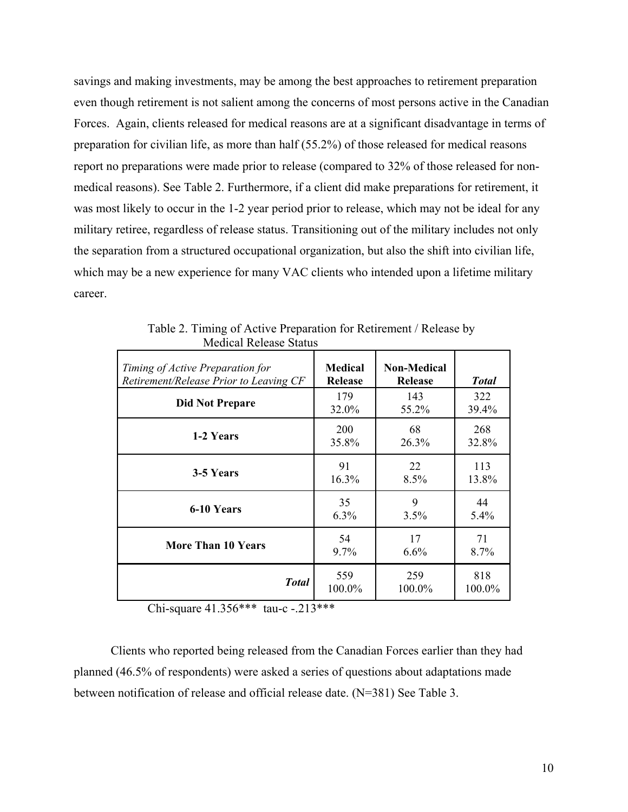savings and making investments, may be among the best approaches to retirement preparation even though retirement is not salient among the concerns of most persons active in the Canadian Forces. Again, clients released for medical reasons are at a significant disadvantage in terms of preparation for civilian life, as more than half (55.2%) of those released for medical reasons report no preparations were made prior to release (compared to 32% of those released for nonmedical reasons). See Table 2. Furthermore, if a client did make preparations for retirement, it was most likely to occur in the 1-2 year period prior to release, which may not be ideal for any military retiree, regardless of release status. Transitioning out of the military includes not only the separation from a structured occupational organization, but also the shift into civilian life, which may be a new experience for many VAC clients who intended upon a lifetime military career.

| Timing of Active Preparation for       | <b>Medical</b> | <b>Non-Medical</b> | <b>Total</b> |  |
|----------------------------------------|----------------|--------------------|--------------|--|
| Retirement/Release Prior to Leaving CF | <b>Release</b> | <b>Release</b>     |              |  |
| <b>Did Not Prepare</b>                 | 179            | 143                | 322          |  |
|                                        | 32.0%          | 55.2%              | 39.4%        |  |
| 1-2 Years                              | 200            | 68                 | 268          |  |
|                                        | 35.8%          | 26.3%              | 32.8%        |  |
| 3-5 Years                              | 91             | 22                 | 113          |  |
|                                        | 16.3%          | 8.5%               | 13.8%        |  |
| 6-10 Years                             | 35             | 9                  | 44           |  |
|                                        | 6.3%           | 3.5%               | 5.4%         |  |
| <b>More Than 10 Years</b>              | 54             | 17                 | 71           |  |
|                                        | $9.7\%$        | 6.6%               | 8.7%         |  |
| <b>Total</b>                           | 559            | 259                | 818          |  |
|                                        | 100.0%         | 100.0%             | 100.0%       |  |

 Table 2. Timing of Active Preparation for Retirement / Release by Medical Release Status

Chi-square 41.356\*\*\* tau-c -.213\*\*\*

Clients who reported being released from the Canadian Forces earlier than they had planned (46.5% of respondents) were asked a series of questions about adaptations made between notification of release and official release date. (N=381) See Table 3.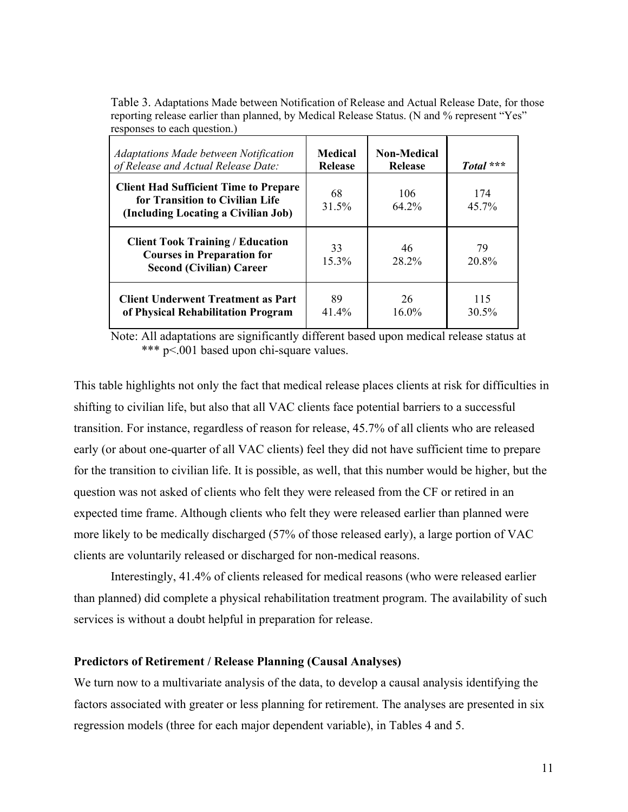| responses to each question.                                                                                            |                                  |                                      |                 |  |
|------------------------------------------------------------------------------------------------------------------------|----------------------------------|--------------------------------------|-----------------|--|
| <b>Adaptations Made between Notification</b><br>of Release and Actual Release Date:                                    | <b>Medical</b><br><b>Release</b> | <b>Non-Medical</b><br><b>Release</b> | Total ***       |  |
| <b>Client Had Sufficient Time to Prepare</b><br>for Transition to Civilian Life<br>(Including Locating a Civilian Job) | 68<br>31.5%                      | 106<br>64.2%                         | 174<br>$45.7\%$ |  |
| <b>Client Took Training / Education</b><br><b>Courses in Preparation for</b><br><b>Second (Civilian) Career</b>        | 33<br>15.3%                      | 46<br>28.2%                          | 79<br>20.8%     |  |
| <b>Client Underwent Treatment as Part</b><br>of Physical Rehabilitation Program                                        | 89<br>$41.4\%$                   | 26<br>$16.0\%$                       | 115<br>30.5%    |  |

Table 3. Adaptations Made between Notification of Release and Actual Release Date, for those reporting release earlier than planned, by Medical Release Status. (N and % represent "Yes" responses to each question.)

 Note: All adaptations are significantly different based upon medical release status at \*\*\* p<.001 based upon chi-square values.

This table highlights not only the fact that medical release places clients at risk for difficulties in shifting to civilian life, but also that all VAC clients face potential barriers to a successful transition. For instance, regardless of reason for release, 45.7% of all clients who are released early (or about one-quarter of all VAC clients) feel they did not have sufficient time to prepare for the transition to civilian life. It is possible, as well, that this number would be higher, but the question was not asked of clients who felt they were released from the CF or retired in an expected time frame. Although clients who felt they were released earlier than planned were more likely to be medically discharged (57% of those released early), a large portion of VAC clients are voluntarily released or discharged for non-medical reasons.

Interestingly, 41.4% of clients released for medical reasons (who were released earlier than planned) did complete a physical rehabilitation treatment program. The availability of such services is without a doubt helpful in preparation for release.

# **Predictors of Retirement / Release Planning (Causal Analyses)**

We turn now to a multivariate analysis of the data, to develop a causal analysis identifying the factors associated with greater or less planning for retirement. The analyses are presented in six regression models (three for each major dependent variable), in Tables 4 and 5.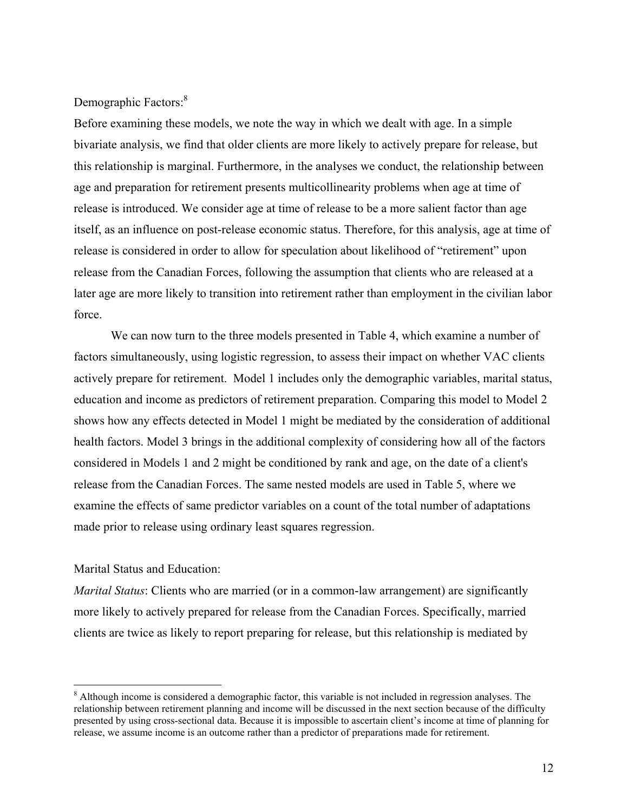Demographic Factors:<sup>8</sup>

Before examining these models, we note the way in which we dealt with age. In a simple bivariate analysis, we find that older clients are more likely to actively prepare for release, but this relationship is marginal. Furthermore, in the analyses we conduct, the relationship between age and preparation for retirement presents multicollinearity problems when age at time of release is introduced. We consider age at time of release to be a more salient factor than age itself, as an influence on post-release economic status. Therefore, for this analysis, age at time of release is considered in order to allow for speculation about likelihood of "retirement" upon release from the Canadian Forces, following the assumption that clients who are released at a later age are more likely to transition into retirement rather than employment in the civilian labor force.

 We can now turn to the three models presented in Table 4, which examine a number of factors simultaneously, using logistic regression, to assess their impact on whether VAC clients actively prepare for retirement. Model 1 includes only the demographic variables, marital status, education and income as predictors of retirement preparation. Comparing this model to Model 2 shows how any effects detected in Model 1 might be mediated by the consideration of additional health factors. Model 3 brings in the additional complexity of considering how all of the factors considered in Models 1 and 2 might be conditioned by rank and age, on the date of a client's release from the Canadian Forces. The same nested models are used in Table 5, where we examine the effects of same predictor variables on a count of the total number of adaptations made prior to release using ordinary least squares regression.

# Marital Status and Education:

 $\overline{a}$ 

*Marital Status*: Clients who are married (or in a common-law arrangement) are significantly more likely to actively prepared for release from the Canadian Forces. Specifically, married clients are twice as likely to report preparing for release, but this relationship is mediated by

 $8$  Although income is considered a demographic factor, this variable is not included in regression analyses. The relationship between retirement planning and income will be discussed in the next section because of the difficulty presented by using cross-sectional data. Because it is impossible to ascertain client's income at time of planning for release, we assume income is an outcome rather than a predictor of preparations made for retirement.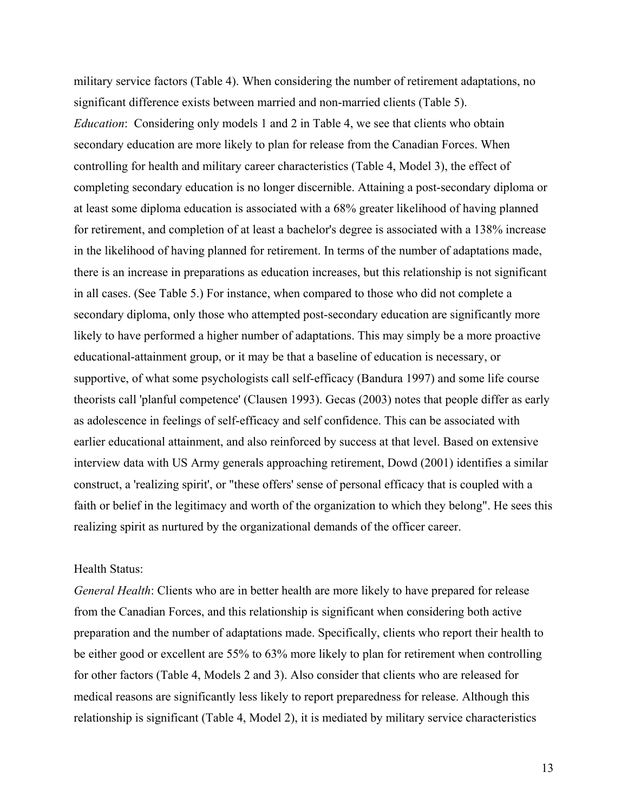military service factors (Table 4). When considering the number of retirement adaptations, no significant difference exists between married and non-married clients (Table 5). *Education*: Considering only models 1 and 2 in Table 4, we see that clients who obtain secondary education are more likely to plan for release from the Canadian Forces. When controlling for health and military career characteristics (Table 4, Model 3), the effect of completing secondary education is no longer discernible. Attaining a post-secondary diploma or at least some diploma education is associated with a 68% greater likelihood of having planned for retirement, and completion of at least a bachelor's degree is associated with a 138% increase in the likelihood of having planned for retirement. In terms of the number of adaptations made, there is an increase in preparations as education increases, but this relationship is not significant in all cases. (See Table 5.) For instance, when compared to those who did not complete a secondary diploma, only those who attempted post-secondary education are significantly more likely to have performed a higher number of adaptations. This may simply be a more proactive educational-attainment group, or it may be that a baseline of education is necessary, or supportive, of what some psychologists call self-efficacy (Bandura 1997) and some life course theorists call 'planful competence' (Clausen 1993). Gecas (2003) notes that people differ as early as adolescence in feelings of self-efficacy and self confidence. This can be associated with earlier educational attainment, and also reinforced by success at that level. Based on extensive interview data with US Army generals approaching retirement, Dowd (2001) identifies a similar construct, a 'realizing spirit', or "these offers' sense of personal efficacy that is coupled with a faith or belief in the legitimacy and worth of the organization to which they belong". He sees this realizing spirit as nurtured by the organizational demands of the officer career.

# Health Status:

*General Health*: Clients who are in better health are more likely to have prepared for release from the Canadian Forces, and this relationship is significant when considering both active preparation and the number of adaptations made. Specifically, clients who report their health to be either good or excellent are 55% to 63% more likely to plan for retirement when controlling for other factors (Table 4, Models 2 and 3). Also consider that clients who are released for medical reasons are significantly less likely to report preparedness for release. Although this relationship is significant (Table 4, Model 2), it is mediated by military service characteristics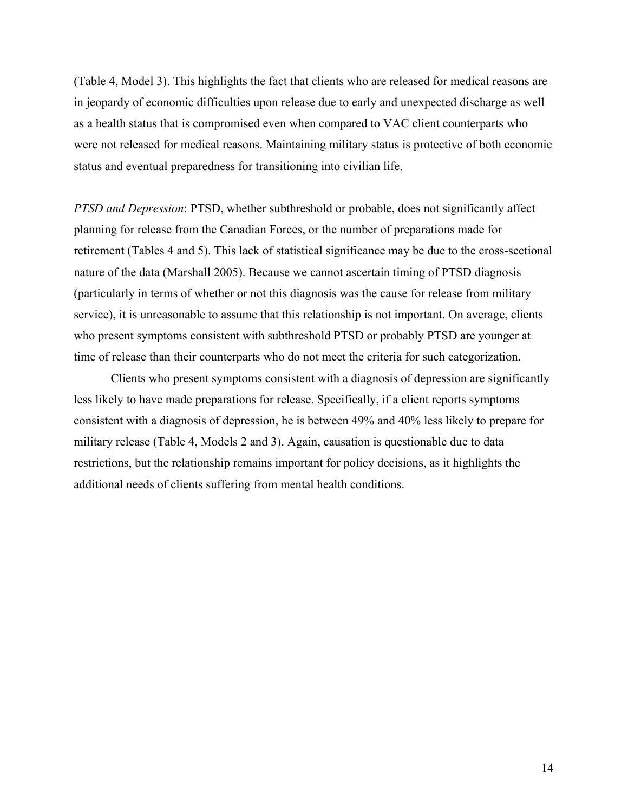(Table 4, Model 3). This highlights the fact that clients who are released for medical reasons are in jeopardy of economic difficulties upon release due to early and unexpected discharge as well as a health status that is compromised even when compared to VAC client counterparts who were not released for medical reasons. Maintaining military status is protective of both economic status and eventual preparedness for transitioning into civilian life.

*PTSD and Depression*: PTSD, whether subthreshold or probable, does not significantly affect planning for release from the Canadian Forces, or the number of preparations made for retirement (Tables 4 and 5). This lack of statistical significance may be due to the cross-sectional nature of the data (Marshall 2005). Because we cannot ascertain timing of PTSD diagnosis (particularly in terms of whether or not this diagnosis was the cause for release from military service), it is unreasonable to assume that this relationship is not important. On average, clients who present symptoms consistent with subthreshold PTSD or probably PTSD are younger at time of release than their counterparts who do not meet the criteria for such categorization.

Clients who present symptoms consistent with a diagnosis of depression are significantly less likely to have made preparations for release. Specifically, if a client reports symptoms consistent with a diagnosis of depression, he is between 49% and 40% less likely to prepare for military release (Table 4, Models 2 and 3). Again, causation is questionable due to data restrictions, but the relationship remains important for policy decisions, as it highlights the additional needs of clients suffering from mental health conditions.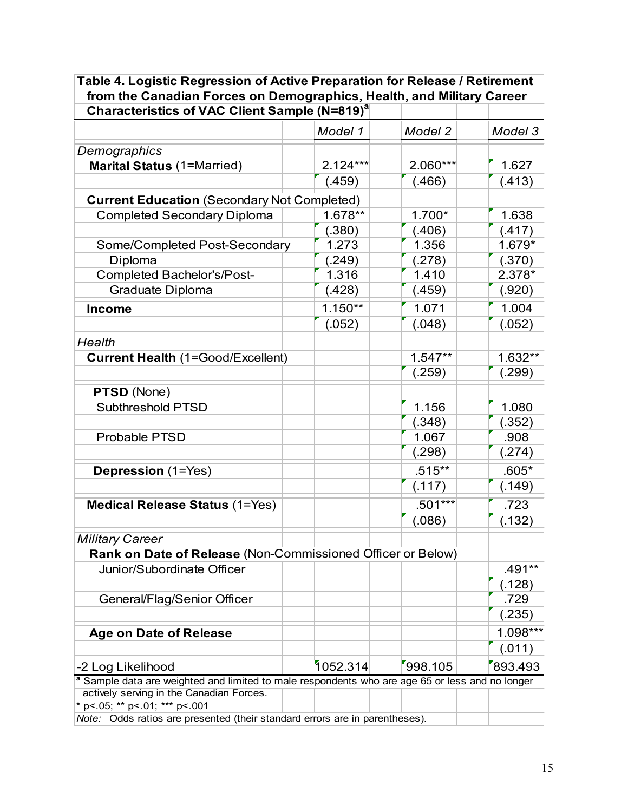| <b>Characteristics of VAC Client Sample (N=819)</b> <sup>a</sup>                                           |            |            |          |  |  |
|------------------------------------------------------------------------------------------------------------|------------|------------|----------|--|--|
|                                                                                                            | Model 1    | Model 2    | Model 3  |  |  |
| Demographics                                                                                               |            |            |          |  |  |
| <b>Marital Status (1=Married)</b>                                                                          | $2.124***$ | $2.060***$ | 1.627    |  |  |
|                                                                                                            | (.459)     | (.466)     | (.413)   |  |  |
| <b>Current Education (Secondary Not Completed)</b>                                                         |            |            |          |  |  |
| <b>Completed Secondary Diploma</b>                                                                         | 1.678**    | 1.700*     | 1.638    |  |  |
|                                                                                                            | (.380)     | (.406)     | (.417)   |  |  |
| Some/Completed Post-Secondary                                                                              | 1.273      | 1.356      | 1.679*   |  |  |
| Diploma                                                                                                    | (.249)     | (.278)     | (.370)   |  |  |
| <b>Completed Bachelor's/Post-</b>                                                                          | 1.316      | 1.410      | 2.378*   |  |  |
| Graduate Diploma                                                                                           | (.428)     | (.459)     | (.920)   |  |  |
| <b>Income</b>                                                                                              | $1.150**$  | 1.071      | 1.004    |  |  |
|                                                                                                            | (.052)     | (.048)     | (.052)   |  |  |
| Health                                                                                                     |            |            |          |  |  |
| <b>Current Health (1=Good/Excellent)</b>                                                                   |            | $1.547**$  | 1.632**  |  |  |
|                                                                                                            |            | (.259)     | (.299)   |  |  |
| PTSD (None)                                                                                                |            |            |          |  |  |
| Subthreshold PTSD                                                                                          |            | 1.156      | 1.080    |  |  |
|                                                                                                            |            | (.348)     | (.352)   |  |  |
| <b>Probable PTSD</b>                                                                                       |            | 1.067      | .908     |  |  |
|                                                                                                            |            | (.298)     | (.274)   |  |  |
| <b>Depression</b> (1=Yes)                                                                                  |            | $.515***$  | $.605*$  |  |  |
|                                                                                                            |            | (.117)     | (.149)   |  |  |
|                                                                                                            |            | $.501***$  | .723     |  |  |
| <b>Medical Release Status (1=Yes)</b>                                                                      |            |            |          |  |  |
|                                                                                                            |            | (.086)     | (.132)   |  |  |
| <b>Military Career</b>                                                                                     |            |            |          |  |  |
| Rank on Date of Release (Non-Commissioned Officer or Below)                                                |            |            |          |  |  |
| Junior/Subordinate Officer                                                                                 |            |            | .491**   |  |  |
|                                                                                                            |            |            | (.128)   |  |  |
| General/Flag/Senior Officer                                                                                |            |            | .729     |  |  |
|                                                                                                            |            |            | (.235)   |  |  |
| <b>Age on Date of Release</b>                                                                              |            |            | 1.098*** |  |  |
|                                                                                                            |            |            | (.011)   |  |  |
| -2 Log Likelihood                                                                                          | 1052.314   | 998.105    | 893.493  |  |  |
| <sup>a</sup> Sample data are weighted and limited to male respondents who are age 65 or less and no longer |            |            |          |  |  |
| actively serving in the Canadian Forces.<br>* p <. 05; ** p <. 01; *** p <. 001                            |            |            |          |  |  |
|                                                                                                            |            |            |          |  |  |
| Note: Odds ratios are presented (their standard errors are in parentheses).                                |            |            |          |  |  |

**Table 4. Logistic Regression of Active Preparation for Release / Retirement from the Canadian Forces on Demographics, Health, and Military Career**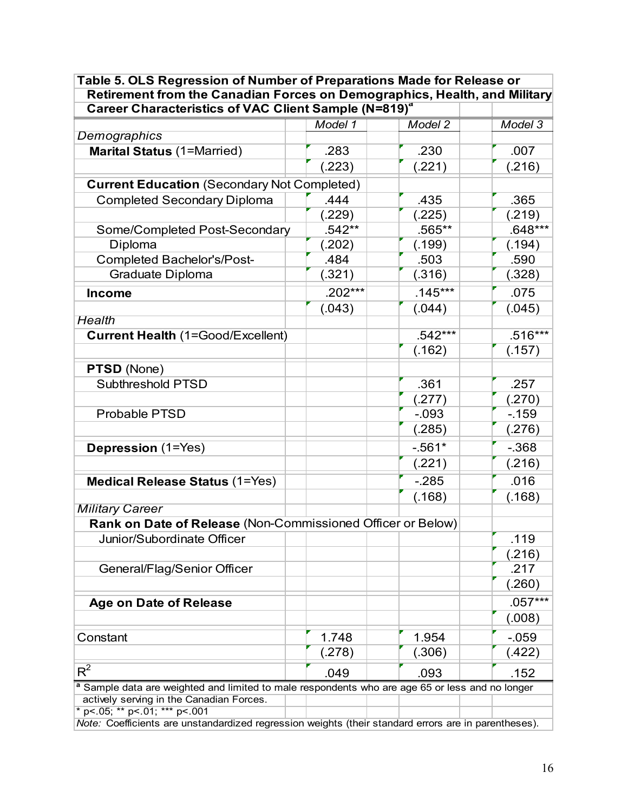| Retirement from the Canadian Forces on Demographics, Health, and Military<br>Career Characteristics of VAC Client Sample (N=819) <sup>a</sup> |                  |                  |                |  |
|-----------------------------------------------------------------------------------------------------------------------------------------------|------------------|------------------|----------------|--|
|                                                                                                                                               | Model 1          | Model 2          | Model 3        |  |
| Demographics                                                                                                                                  |                  |                  |                |  |
| <b>Marital Status (1=Married)</b>                                                                                                             | .283             | .230             | .007           |  |
|                                                                                                                                               | (.223)           | (.221)           | (.216)         |  |
| <b>Current Education (Secondary Not Completed)</b>                                                                                            |                  |                  |                |  |
|                                                                                                                                               | .444             |                  |                |  |
| <b>Completed Secondary Diploma</b>                                                                                                            |                  | .435             | .365<br>(.219) |  |
| Some/Completed Post-Secondary                                                                                                                 | (.229)<br>.542** | (.225)<br>.565** | $.648***$      |  |
| Diploma                                                                                                                                       |                  | (.199)           |                |  |
| Completed Bachelor's/Post-                                                                                                                    | (.202)<br>.484   | .503             | (.194)<br>.590 |  |
| Graduate Diploma                                                                                                                              |                  |                  |                |  |
|                                                                                                                                               | (.321)           | (.316)           | (.328)         |  |
| <b>Income</b>                                                                                                                                 | $.202***$        | $.145***$        | .075           |  |
|                                                                                                                                               | (.043)           | (.044)           | (.045)         |  |
| <b>Health</b>                                                                                                                                 |                  |                  |                |  |
| <b>Current Health (1=Good/Excellent)</b>                                                                                                      |                  | $.542***$        | $.516***$      |  |
|                                                                                                                                               |                  | (.162)           | (.157)         |  |
| PTSD (None)                                                                                                                                   |                  |                  |                |  |
| Subthreshold PTSD                                                                                                                             |                  | .361             | .257           |  |
|                                                                                                                                               |                  | (.277)           | (.270)         |  |
| Probable PTSD                                                                                                                                 |                  | $-0.093$         | $-159$         |  |
|                                                                                                                                               |                  | (.285)           | (.276)         |  |
| <b>Depression</b> (1=Yes)                                                                                                                     |                  | $-561*$          | $-0.368$       |  |
|                                                                                                                                               |                  | (.221)           | (.216)         |  |
| <b>Medical Release Status (1=Yes)</b>                                                                                                         |                  | $-285$           | .016           |  |
|                                                                                                                                               |                  | (.168)           | (.168)         |  |
| <b>Military Career</b>                                                                                                                        |                  |                  |                |  |
| Rank on Date of Release (Non-Commissioned Officer or Below)                                                                                   |                  |                  |                |  |
| Junior/Subordinate Officer                                                                                                                    |                  |                  | .119           |  |
|                                                                                                                                               |                  |                  | (.216)         |  |
| General/Flag/Senior Officer                                                                                                                   |                  |                  | .217           |  |
|                                                                                                                                               |                  |                  | (.260)         |  |
|                                                                                                                                               |                  |                  | $.057***$      |  |
| <b>Age on Date of Release</b>                                                                                                                 |                  |                  | (.008)         |  |
|                                                                                                                                               |                  |                  |                |  |
| Constant                                                                                                                                      | 1.748            | 1.954            | $-0.59$        |  |
|                                                                                                                                               | (.278)           | (.306)           | (.422)         |  |
| $R^2$                                                                                                                                         | .049             | .093             | .152           |  |
| a Sample data are weighted and limited to male respondents who are age 65 or less and no longer                                               |                  |                  |                |  |
| actively serving in the Canadian Forces.                                                                                                      |                  |                  |                |  |
| * p < .05; ** p < .01; *** p < .001                                                                                                           |                  |                  |                |  |
| Note: Coefficients are unstandardized regression weights (their standard errors are in parentheses).                                          |                  |                  |                |  |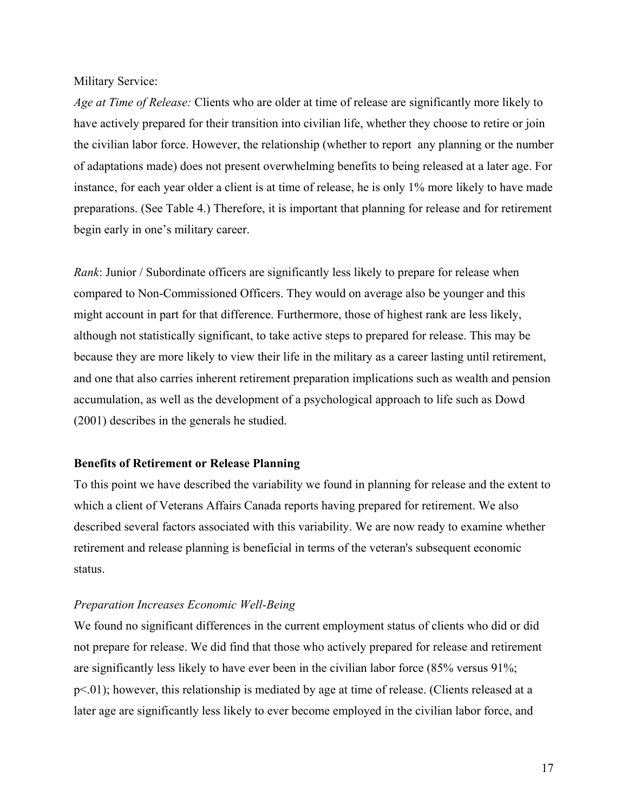## Military Service:

*Age at Time of Release:* Clients who are older at time of release are significantly more likely to have actively prepared for their transition into civilian life, whether they choose to retire or join the civilian labor force. However, the relationship (whether to report any planning or the number of adaptations made) does not present overwhelming benefits to being released at a later age. For instance, for each year older a client is at time of release, he is only 1% more likely to have made preparations. (See Table 4.) Therefore, it is important that planning for release and for retirement begin early in one's military career.

*Rank*: Junior / Subordinate officers are significantly less likely to prepare for release when compared to Non-Commissioned Officers. They would on average also be younger and this might account in part for that difference. Furthermore, those of highest rank are less likely, although not statistically significant, to take active steps to prepared for release. This may be because they are more likely to view their life in the military as a career lasting until retirement, and one that also carries inherent retirement preparation implications such as wealth and pension accumulation, as well as the development of a psychological approach to life such as Dowd (2001) describes in the generals he studied.

# **Benefits of Retirement or Release Planning**

To this point we have described the variability we found in planning for release and the extent to which a client of Veterans Affairs Canada reports having prepared for retirement. We also described several factors associated with this variability. We are now ready to examine whether retirement and release planning is beneficial in terms of the veteran's subsequent economic status.

# *Preparation Increases Economic Well-Being*

We found no significant differences in the current employment status of clients who did or did not prepare for release. We did find that those who actively prepared for release and retirement are significantly less likely to have ever been in the civilian labor force (85% versus 91%; p<.01); however, this relationship is mediated by age at time of release. (Clients released at a later age are significantly less likely to ever become employed in the civilian labor force, and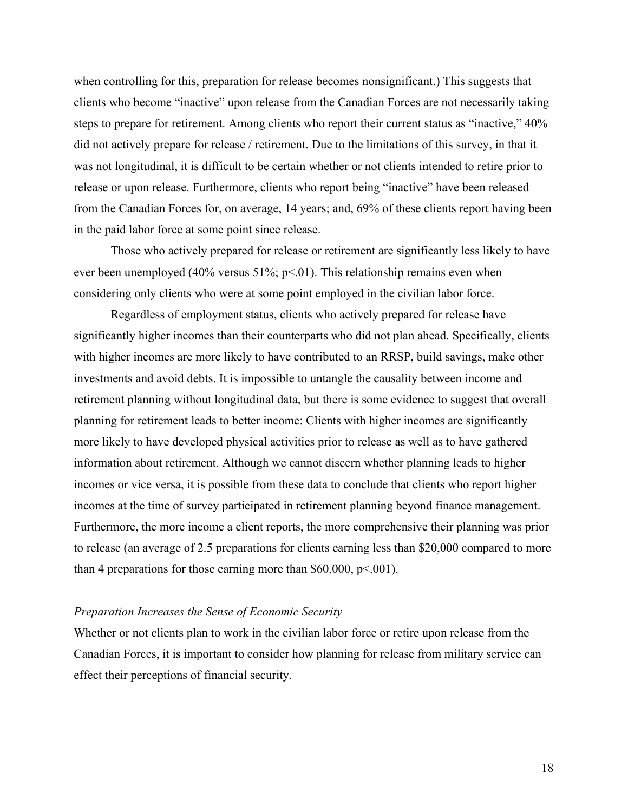when controlling for this, preparation for release becomes nonsignificant.) This suggests that clients who become "inactive" upon release from the Canadian Forces are not necessarily taking steps to prepare for retirement. Among clients who report their current status as "inactive," 40% did not actively prepare for release / retirement. Due to the limitations of this survey, in that it was not longitudinal, it is difficult to be certain whether or not clients intended to retire prior to release or upon release. Furthermore, clients who report being "inactive" have been released from the Canadian Forces for, on average, 14 years; and, 69% of these clients report having been in the paid labor force at some point since release.

Those who actively prepared for release or retirement are significantly less likely to have ever been unemployed (40% versus 51%; p<.01). This relationship remains even when considering only clients who were at some point employed in the civilian labor force.

Regardless of employment status, clients who actively prepared for release have significantly higher incomes than their counterparts who did not plan ahead. Specifically, clients with higher incomes are more likely to have contributed to an RRSP, build savings, make other investments and avoid debts. It is impossible to untangle the causality between income and retirement planning without longitudinal data, but there is some evidence to suggest that overall planning for retirement leads to better income: Clients with higher incomes are significantly more likely to have developed physical activities prior to release as well as to have gathered information about retirement. Although we cannot discern whether planning leads to higher incomes or vice versa, it is possible from these data to conclude that clients who report higher incomes at the time of survey participated in retirement planning beyond finance management. Furthermore, the more income a client reports, the more comprehensive their planning was prior to release (an average of 2.5 preparations for clients earning less than \$20,000 compared to more than 4 preparations for those earning more than  $$60,000, p \le 001$ .

## *Preparation Increases the Sense of Economic Security*

Whether or not clients plan to work in the civilian labor force or retire upon release from the Canadian Forces, it is important to consider how planning for release from military service can effect their perceptions of financial security.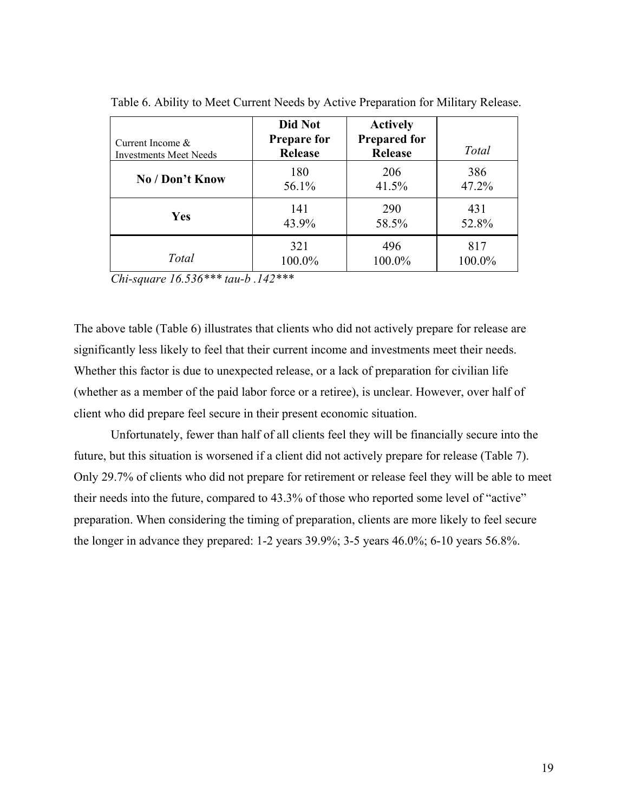| Current Income $\&$<br><b>Investments Meet Needs</b> | Did Not<br><b>Prepare for</b><br><b>Release</b> | <b>Actively</b><br><b>Prepared for</b><br>Release | Total  |
|------------------------------------------------------|-------------------------------------------------|---------------------------------------------------|--------|
| No / Don't Know                                      | 180                                             | 206                                               | 386    |
|                                                      | 56.1%                                           | 41.5%                                             | 47.2%  |
| Yes                                                  | 141                                             | 290                                               | 431    |
|                                                      | 43.9%                                           | 58.5%                                             | 52.8%  |
| Total                                                | 321                                             | 496                                               | 817    |
|                                                      | 100.0%                                          | 100.0%                                            | 100.0% |

Table 6. Ability to Meet Current Needs by Active Preparation for Military Release.

*Chi-square 16.536\*\*\* tau-b .142\*\*\** 

The above table (Table 6) illustrates that clients who did not actively prepare for release are significantly less likely to feel that their current income and investments meet their needs. Whether this factor is due to unexpected release, or a lack of preparation for civilian life (whether as a member of the paid labor force or a retiree), is unclear. However, over half of client who did prepare feel secure in their present economic situation.

 Unfortunately, fewer than half of all clients feel they will be financially secure into the future, but this situation is worsened if a client did not actively prepare for release (Table 7). Only 29.7% of clients who did not prepare for retirement or release feel they will be able to meet their needs into the future, compared to 43.3% of those who reported some level of "active" preparation. When considering the timing of preparation, clients are more likely to feel secure the longer in advance they prepared: 1-2 years 39.9%; 3-5 years 46.0%; 6-10 years 56.8%.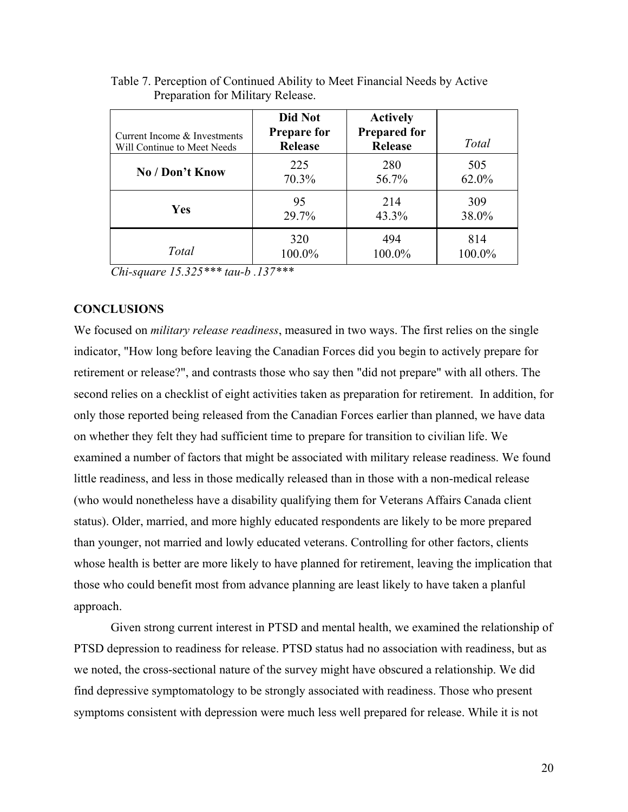| Current Income & Investments<br>Will Continue to Meet Needs | Did Not<br><b>Prepare for</b><br><b>Release</b> | <b>Actively</b><br><b>Prepared for</b><br><b>Release</b> | Total  |
|-------------------------------------------------------------|-------------------------------------------------|----------------------------------------------------------|--------|
| No / Don't Know                                             | 225                                             | 280                                                      | 505    |
|                                                             | 70.3%                                           | 56.7%                                                    | 62.0%  |
| Yes                                                         | 95                                              | 214                                                      | 309    |
|                                                             | 29.7%                                           | 43.3%                                                    | 38.0%  |
| Total                                                       | 320                                             | 494                                                      | 814    |
|                                                             | 100.0%                                          | 100.0%                                                   | 100.0% |

Table 7. Perception of Continued Ability to Meet Financial Needs by Active Preparation for Military Release.

*Chi-square 15.325\*\*\* tau-b .137\*\*\** 

# **CONCLUSIONS**

We focused on *military release readiness*, measured in two ways. The first relies on the single indicator, "How long before leaving the Canadian Forces did you begin to actively prepare for retirement or release?", and contrasts those who say then "did not prepare" with all others. The second relies on a checklist of eight activities taken as preparation for retirement. In addition, for only those reported being released from the Canadian Forces earlier than planned, we have data on whether they felt they had sufficient time to prepare for transition to civilian life. We examined a number of factors that might be associated with military release readiness. We found little readiness, and less in those medically released than in those with a non-medical release (who would nonetheless have a disability qualifying them for Veterans Affairs Canada client status). Older, married, and more highly educated respondents are likely to be more prepared than younger, not married and lowly educated veterans. Controlling for other factors, clients whose health is better are more likely to have planned for retirement, leaving the implication that those who could benefit most from advance planning are least likely to have taken a planful approach.

 Given strong current interest in PTSD and mental health, we examined the relationship of PTSD depression to readiness for release. PTSD status had no association with readiness, but as we noted, the cross-sectional nature of the survey might have obscured a relationship. We did find depressive symptomatology to be strongly associated with readiness. Those who present symptoms consistent with depression were much less well prepared for release. While it is not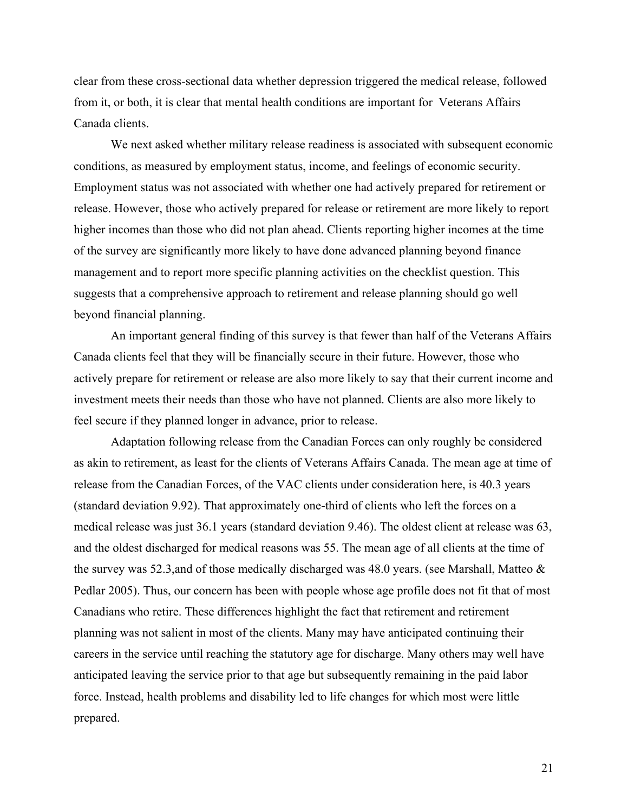clear from these cross-sectional data whether depression triggered the medical release, followed from it, or both, it is clear that mental health conditions are important for Veterans Affairs Canada clients.

 We next asked whether military release readiness is associated with subsequent economic conditions, as measured by employment status, income, and feelings of economic security. Employment status was not associated with whether one had actively prepared for retirement or release. However, those who actively prepared for release or retirement are more likely to report higher incomes than those who did not plan ahead. Clients reporting higher incomes at the time of the survey are significantly more likely to have done advanced planning beyond finance management and to report more specific planning activities on the checklist question. This suggests that a comprehensive approach to retirement and release planning should go well beyond financial planning.

 An important general finding of this survey is that fewer than half of the Veterans Affairs Canada clients feel that they will be financially secure in their future. However, those who actively prepare for retirement or release are also more likely to say that their current income and investment meets their needs than those who have not planned. Clients are also more likely to feel secure if they planned longer in advance, prior to release.

Adaptation following release from the Canadian Forces can only roughly be considered as akin to retirement, as least for the clients of Veterans Affairs Canada. The mean age at time of release from the Canadian Forces, of the VAC clients under consideration here, is 40.3 years (standard deviation 9.92). That approximately one-third of clients who left the forces on a medical release was just 36.1 years (standard deviation 9.46). The oldest client at release was 63, and the oldest discharged for medical reasons was 55. The mean age of all clients at the time of the survey was 52.3,and of those medically discharged was 48.0 years. (see Marshall, Matteo & Pedlar 2005). Thus, our concern has been with people whose age profile does not fit that of most Canadians who retire. These differences highlight the fact that retirement and retirement planning was not salient in most of the clients. Many may have anticipated continuing their careers in the service until reaching the statutory age for discharge. Many others may well have anticipated leaving the service prior to that age but subsequently remaining in the paid labor force. Instead, health problems and disability led to life changes for which most were little prepared.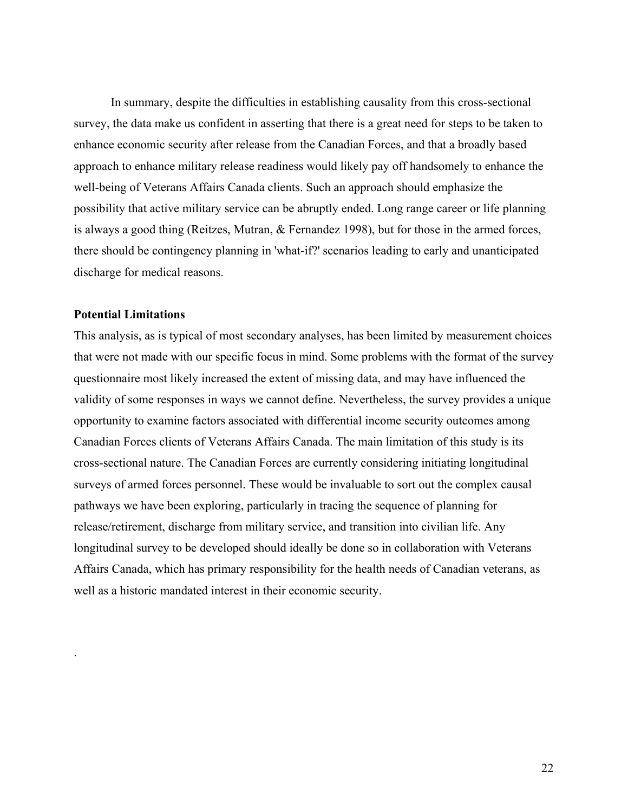In summary, despite the difficulties in establishing causality from this cross-sectional survey, the data make us confident in asserting that there is a great need for steps to be taken to enhance economic security after release from the Canadian Forces, and that a broadly based approach to enhance military release readiness would likely pay off handsomely to enhance the well-being of Veterans Affairs Canada clients. Such an approach should emphasize the possibility that active military service can be abruptly ended. Long range career or life planning is always a good thing (Reitzes, Mutran, & Fernandez 1998), but for those in the armed forces, there should be contingency planning in 'what-if?' scenarios leading to early and unanticipated discharge for medical reasons.

## **Potential Limitations**

.

This analysis, as is typical of most secondary analyses, has been limited by measurement choices that were not made with our specific focus in mind. Some problems with the format of the survey questionnaire most likely increased the extent of missing data, and may have influenced the validity of some responses in ways we cannot define. Nevertheless, the survey provides a unique opportunity to examine factors associated with differential income security outcomes among Canadian Forces clients of Veterans Affairs Canada. The main limitation of this study is its cross-sectional nature. The Canadian Forces are currently considering initiating longitudinal surveys of armed forces personnel. These would be invaluable to sort out the complex causal pathways we have been exploring, particularly in tracing the sequence of planning for release/retirement, discharge from military service, and transition into civilian life. Any longitudinal survey to be developed should ideally be done so in collaboration with Veterans Affairs Canada, which has primary responsibility for the health needs of Canadian veterans, as well as a historic mandated interest in their economic security.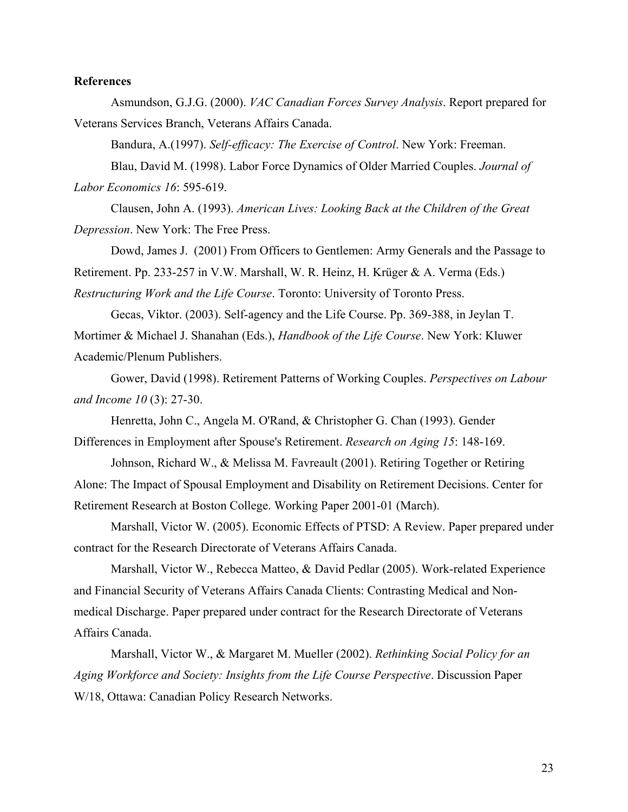# **References**

Asmundson, G.J.G. (2000). *VAC Canadian Forces Survey Analysis*. Report prepared for Veterans Services Branch, Veterans Affairs Canada.

 Bandura, A.(1997). *Self-efficacy: The Exercise of Control*. New York: Freeman. Blau, David M. (1998). Labor Force Dynamics of Older Married Couples. *Journal of Labor Economics 16*: 595-619.

Clausen, John A. (1993). *American Lives: Looking Back at the Children of the Great Depression*. New York: The Free Press.

Dowd, James J. (2001) From Officers to Gentlemen: Army Generals and the Passage to Retirement. Pp. 233-257 in V.W. Marshall, W. R. Heinz, H. Krüger & A. Verma (Eds.) *Restructuring Work and the Life Course*. Toronto: University of Toronto Press.

 Gecas, Viktor. (2003). Self-agency and the Life Course. Pp. 369-388, in Jeylan T. Mortimer & Michael J. Shanahan (Eds.), *Handbook of the Life Course*. New York: Kluwer

Academic/Plenum Publishers.

Gower, David (1998). Retirement Patterns of Working Couples. *Perspectives on Labour and Income 10* (3): 27-30.

Henretta, John C., Angela M. O'Rand, & Christopher G. Chan (1993). Gender

Differences in Employment after Spouse's Retirement. *Research on Aging 15*: 148-169.

Johnson, Richard W., & Melissa M. Favreault (2001). Retiring Together or Retiring

Alone: The Impact of Spousal Employment and Disability on Retirement Decisions. Center for Retirement Research at Boston College. Working Paper 2001-01 (March).

Marshall, Victor W. (2005). Economic Effects of PTSD: A Review. Paper prepared under contract for the Research Directorate of Veterans Affairs Canada.

Marshall, Victor W., Rebecca Matteo, & David Pedlar (2005). Work-related Experience and Financial Security of Veterans Affairs Canada Clients: Contrasting Medical and Nonmedical Discharge. Paper prepared under contract for the Research Directorate of Veterans Affairs Canada.

Marshall, Victor W., & Margaret M. Mueller (2002). *Rethinking Social Policy for an Aging Workforce and Society: Insights from the Life Course Perspective*. Discussion Paper W/18, Ottawa: Canadian Policy Research Networks.